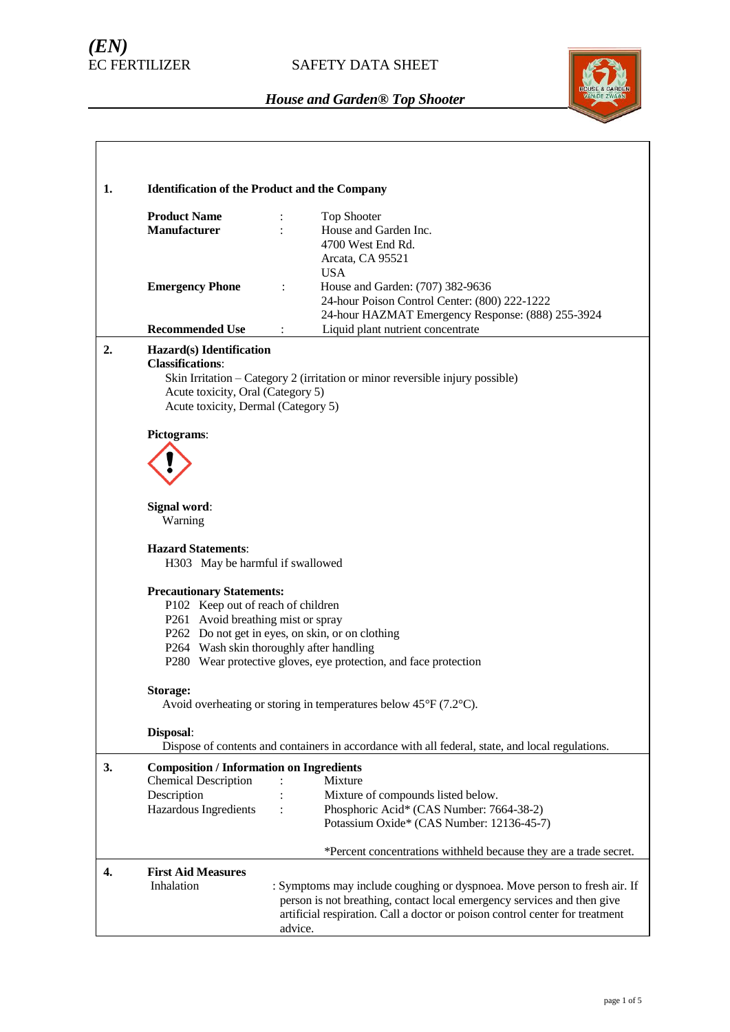# *(EN)*

## SAFETY DATA SHEET



| 1. |                                                                                                                                 |                                                                                                                                                                                                                                                 |
|----|---------------------------------------------------------------------------------------------------------------------------------|-------------------------------------------------------------------------------------------------------------------------------------------------------------------------------------------------------------------------------------------------|
|    | <b>Product Name</b><br><b>Manufacturer</b>                                                                                      | <b>Identification of the Product and the Company</b><br>Top Shooter<br>House and Garden Inc.                                                                                                                                                    |
|    |                                                                                                                                 | 4700 West End Rd.<br>Arcata, CA 95521<br><b>USA</b>                                                                                                                                                                                             |
|    | <b>Emergency Phone</b>                                                                                                          | House and Garden: (707) 382-9636<br>$\ddot{\cdot}$<br>24-hour Poison Control Center: (800) 222-1222<br>24-hour HAZMAT Emergency Response: (888) 255-3924                                                                                        |
|    | <b>Recommended Use</b>                                                                                                          | Liquid plant nutrient concentrate<br>$\ddot{\cdot}$                                                                                                                                                                                             |
| 2. | Hazard(s) Identification<br><b>Classifications:</b><br>Acute toxicity, Oral (Category 5)<br>Acute toxicity, Dermal (Category 5) | Skin Irritation - Category 2 (irritation or minor reversible injury possible)                                                                                                                                                                   |
|    | Pictograms:                                                                                                                     |                                                                                                                                                                                                                                                 |
|    | Signal word:<br>Warning                                                                                                         |                                                                                                                                                                                                                                                 |
|    | <b>Hazard Statements:</b><br>H303 May be harmful if swallowed                                                                   |                                                                                                                                                                                                                                                 |
|    | <b>Precautionary Statements:</b><br>P102 Keep out of reach of children<br>P261 Avoid breathing mist or spray                    | P262 Do not get in eyes, on skin, or on clothing<br>P264 Wash skin thoroughly after handling<br>P280 Wear protective gloves, eye protection, and face protection                                                                                |
|    | Storage:                                                                                                                        | Avoid overheating or storing in temperatures below $45^{\circ}F(7.2^{\circ}C)$ .                                                                                                                                                                |
|    | Disposal:                                                                                                                       | Dispose of contents and containers in accordance with all federal, state, and local regulations.                                                                                                                                                |
| 3. | <b>Composition / Information on Ingredients</b><br><b>Chemical Description</b>                                                  | Mixture<br>Mixture of compounds listed below.                                                                                                                                                                                                   |
|    | Description<br>Hazardous Ingredients                                                                                            | Phosphoric Acid* (CAS Number: 7664-38-2)<br>Potassium Oxide* (CAS Number: 12136-45-7)                                                                                                                                                           |
|    |                                                                                                                                 | *Percent concentrations withheld because they are a trade secret.                                                                                                                                                                               |
| 4. | <b>First Aid Measures</b><br>Inhalation                                                                                         | : Symptoms may include coughing or dyspnoea. Move person to fresh air. If<br>person is not breathing, contact local emergency services and then give<br>artificial respiration. Call a doctor or poison control center for treatment<br>advice. |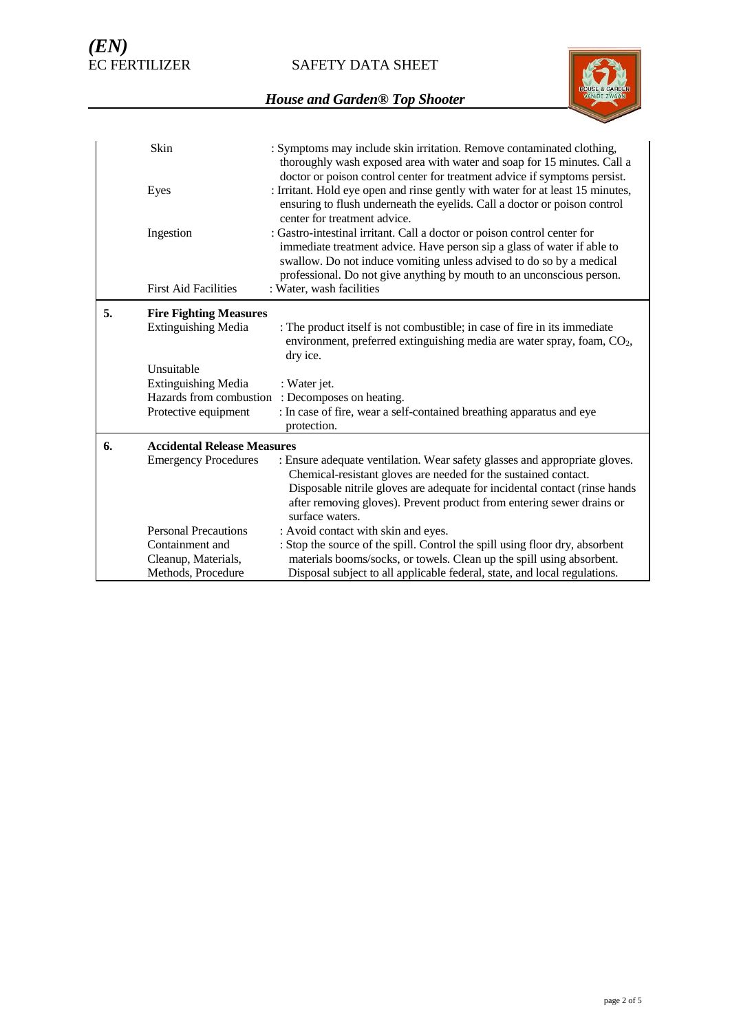SAFETY DATA SHEET



|    | Skin                                                         | : Symptoms may include skin irritation. Remove contaminated clothing,<br>thoroughly wash exposed area with water and soap for 15 minutes. Call a<br>doctor or poison control center for treatment advice if symptoms persist.                                                                                           |
|----|--------------------------------------------------------------|-------------------------------------------------------------------------------------------------------------------------------------------------------------------------------------------------------------------------------------------------------------------------------------------------------------------------|
|    | Eyes                                                         | : Irritant. Hold eye open and rinse gently with water for at least 15 minutes,<br>ensuring to flush underneath the eyelids. Call a doctor or poison control<br>center for treatment advice.                                                                                                                             |
|    | Ingestion                                                    | : Gastro-intestinal irritant. Call a doctor or poison control center for<br>immediate treatment advice. Have person sip a glass of water if able to<br>swallow. Do not induce vomiting unless advised to do so by a medical<br>professional. Do not give anything by mouth to an unconscious person.                    |
|    | <b>First Aid Facilities</b>                                  | : Water, wash facilities                                                                                                                                                                                                                                                                                                |
| 5. | <b>Fire Fighting Measures</b><br>Extinguishing Media         | : The product itself is not combustible; in case of fire in its immediate<br>environment, preferred extinguishing media are water spray, foam, CO <sub>2</sub> ,<br>dry ice.                                                                                                                                            |
|    | Unsuitable                                                   |                                                                                                                                                                                                                                                                                                                         |
|    | <b>Extinguishing Media</b>                                   | : Water jet.                                                                                                                                                                                                                                                                                                            |
|    | Hazards from combustion<br>Protective equipment              | : Decomposes on heating.<br>: In case of fire, wear a self-contained breathing apparatus and eye                                                                                                                                                                                                                        |
|    |                                                              | protection.                                                                                                                                                                                                                                                                                                             |
| 6. | <b>Accidental Release Measures</b>                           |                                                                                                                                                                                                                                                                                                                         |
|    | <b>Emergency Procedures</b>                                  | : Ensure adequate ventilation. Wear safety glasses and appropriate gloves.<br>Chemical-resistant gloves are needed for the sustained contact.<br>Disposable nitrile gloves are adequate for incidental contact (rinse hands<br>after removing gloves). Prevent product from entering sewer drains or<br>surface waters. |
|    | <b>Personal Precautions</b>                                  | : Avoid contact with skin and eyes.                                                                                                                                                                                                                                                                                     |
|    | Containment and<br>Cleanup, Materials,<br>Methods, Procedure | : Stop the source of the spill. Control the spill using floor dry, absorbent<br>materials booms/socks, or towels. Clean up the spill using absorbent.<br>Disposal subject to all applicable federal, state, and local regulations.                                                                                      |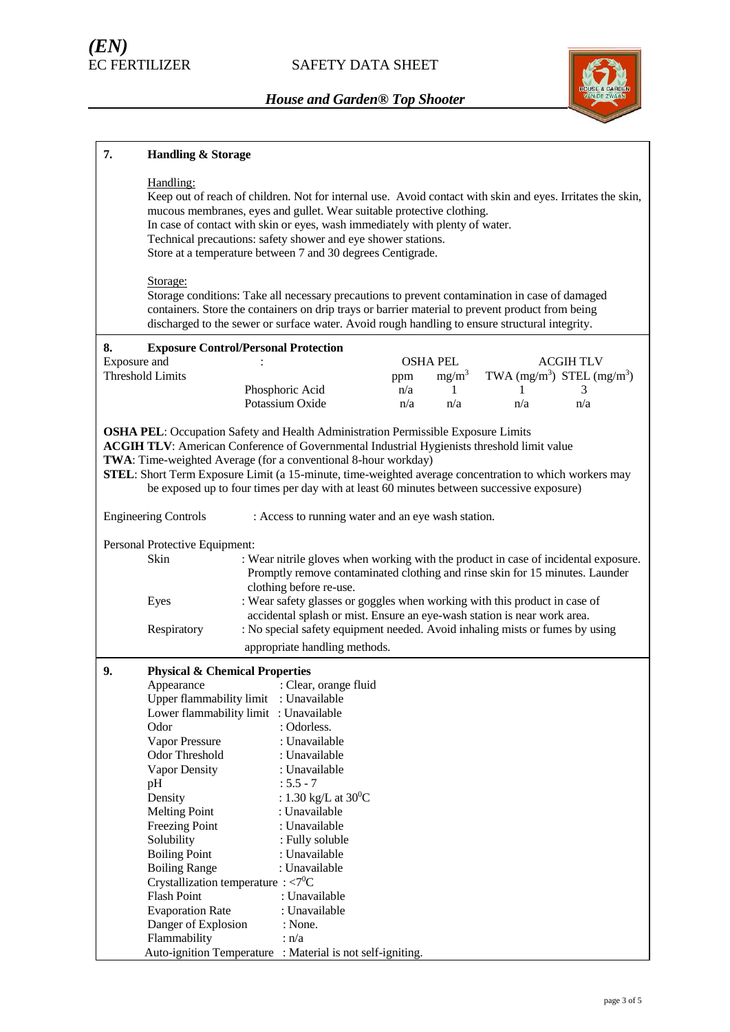

| 7.           | <b>Handling &amp; Storage</b>                                                                                                                                                                                                                                                                                                                                                                                                    |                                                                                                                                                                                                                                                                                                                                                                                                                                                                        |            |                 |          |                                |
|--------------|----------------------------------------------------------------------------------------------------------------------------------------------------------------------------------------------------------------------------------------------------------------------------------------------------------------------------------------------------------------------------------------------------------------------------------|------------------------------------------------------------------------------------------------------------------------------------------------------------------------------------------------------------------------------------------------------------------------------------------------------------------------------------------------------------------------------------------------------------------------------------------------------------------------|------------|-----------------|----------|--------------------------------|
|              | Handling:                                                                                                                                                                                                                                                                                                                                                                                                                        | Keep out of reach of children. Not for internal use. Avoid contact with skin and eyes. Irritates the skin,<br>mucous membranes, eyes and gullet. Wear suitable protective clothing.<br>In case of contact with skin or eyes, wash immediately with plenty of water.<br>Technical precautions: safety shower and eye shower stations.<br>Store at a temperature between 7 and 30 degrees Centigrade.                                                                    |            |                 |          |                                |
|              | Storage:                                                                                                                                                                                                                                                                                                                                                                                                                         | Storage conditions: Take all necessary precautions to prevent contamination in case of damaged<br>containers. Store the containers on drip trays or barrier material to prevent product from being<br>discharged to the sewer or surface water. Avoid rough handling to ensure structural integrity.                                                                                                                                                                   |            |                 |          |                                |
| 8.           |                                                                                                                                                                                                                                                                                                                                                                                                                                  | <b>Exposure Control/Personal Protection</b>                                                                                                                                                                                                                                                                                                                                                                                                                            |            |                 |          |                                |
| Exposure and |                                                                                                                                                                                                                                                                                                                                                                                                                                  |                                                                                                                                                                                                                                                                                                                                                                                                                                                                        |            | <b>OSHA PEL</b> |          | <b>ACGIH TLV</b>               |
|              | <b>Threshold Limits</b>                                                                                                                                                                                                                                                                                                                                                                                                          |                                                                                                                                                                                                                                                                                                                                                                                                                                                                        | ppm        | $mg/m^3$        |          | TWA $(mg/m^3)$ STEL $(mg/m^3)$ |
|              |                                                                                                                                                                                                                                                                                                                                                                                                                                  | Phosphoric Acid<br>Potassium Oxide                                                                                                                                                                                                                                                                                                                                                                                                                                     | n/a<br>n/a | 1<br>n/a        | L<br>n/a | 3<br>n/a                       |
|              |                                                                                                                                                                                                                                                                                                                                                                                                                                  |                                                                                                                                                                                                                                                                                                                                                                                                                                                                        |            |                 |          |                                |
|              |                                                                                                                                                                                                                                                                                                                                                                                                                                  | <b>OSHA PEL:</b> Occupation Safety and Health Administration Permissible Exposure Limits<br><b>ACGIH TLV:</b> American Conference of Governmental Industrial Hygienists threshold limit value<br>TWA: Time-weighted Average (for a conventional 8-hour workday)<br>STEL: Short Term Exposure Limit (a 15-minute, time-weighted average concentration to which workers may<br>be exposed up to four times per day with at least 60 minutes between successive exposure) |            |                 |          |                                |
|              | <b>Engineering Controls</b>                                                                                                                                                                                                                                                                                                                                                                                                      | : Access to running water and an eye wash station.                                                                                                                                                                                                                                                                                                                                                                                                                     |            |                 |          |                                |
|              | Personal Protective Equipment:<br>Skin                                                                                                                                                                                                                                                                                                                                                                                           | : Wear nitrile gloves when working with the product in case of incidental exposure.<br>Promptly remove contaminated clothing and rinse skin for 15 minutes. Launder                                                                                                                                                                                                                                                                                                    |            |                 |          |                                |
|              | Eyes                                                                                                                                                                                                                                                                                                                                                                                                                             | clothing before re-use.<br>: Wear safety glasses or goggles when working with this product in case of<br>accidental splash or mist. Ensure an eye-wash station is near work area.                                                                                                                                                                                                                                                                                      |            |                 |          |                                |
|              | Respiratory                                                                                                                                                                                                                                                                                                                                                                                                                      | : No special safety equipment needed. Avoid inhaling mists or fumes by using<br>appropriate handling methods.                                                                                                                                                                                                                                                                                                                                                          |            |                 |          |                                |
| 9.           | <b>Physical &amp; Chemical Properties</b><br>Appearance<br>Upper flammability limit<br>Odor<br>Vapor Pressure<br>Odor Threshold<br>Vapor Density<br>pH<br>Density<br><b>Melting Point</b><br><b>Freezing Point</b><br>Solubility<br><b>Boiling Point</b><br><b>Boiling Range</b><br>Crystallization temperature : $\langle 7^0C \rangle$<br><b>Flash Point</b><br><b>Evaporation Rate</b><br>Danger of Explosion<br>Flammability | : Clear, orange fluid<br>: Unavailable<br>Lower flammability limit : Unavailable<br>: Odorless.<br>: Unavailable<br>: Unavailable<br>: Unavailable<br>$: 5.5 - 7$<br>: 1.30 kg/L at $30^0C$<br>: Unavailable<br>: Unavailable<br>: Fully soluble<br>: Unavailable<br>: Unavailable<br>: Unavailable<br>: Unavailable<br>: None.<br>: n/a<br>Auto-ignition Temperature : Material is not self-igniting.                                                                 |            |                 |          |                                |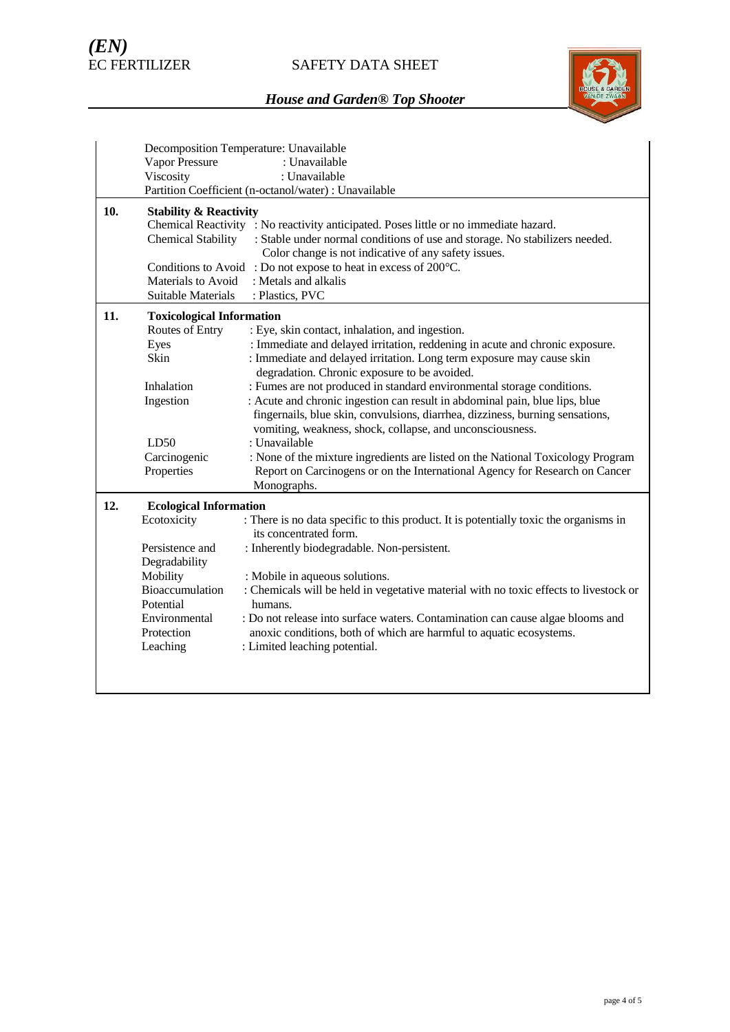# SAFETY DATA SHEET



|     | Decomposition Temperature: Unavailable |                                                                                       |  |  |  |  |
|-----|----------------------------------------|---------------------------------------------------------------------------------------|--|--|--|--|
|     | <b>Vapor Pressure</b>                  | : Unavailable                                                                         |  |  |  |  |
|     | Viscosity                              | : Unavailable                                                                         |  |  |  |  |
|     |                                        | Partition Coefficient (n-octanol/water) : Unavailable                                 |  |  |  |  |
| 10. | <b>Stability &amp; Reactivity</b>      |                                                                                       |  |  |  |  |
|     |                                        | Chemical Reactivity : No reactivity anticipated. Poses little or no immediate hazard. |  |  |  |  |
|     | <b>Chemical Stability</b>              | : Stable under normal conditions of use and storage. No stabilizers needed.           |  |  |  |  |
|     |                                        | Color change is not indicative of any safety issues.                                  |  |  |  |  |
|     | Conditions to Avoid                    | : Do not expose to heat in excess of 200°C.                                           |  |  |  |  |
|     | Materials to Avoid                     | : Metals and alkalis                                                                  |  |  |  |  |
|     | Suitable Materials                     | : Plastics, PVC                                                                       |  |  |  |  |
| 11. |                                        | <b>Toxicological Information</b>                                                      |  |  |  |  |
|     | Routes of Entry                        | : Eye, skin contact, inhalation, and ingestion.                                       |  |  |  |  |
|     | Eyes                                   | : Immediate and delayed irritation, reddening in acute and chronic exposure.          |  |  |  |  |
|     | Skin                                   | : Immediate and delayed irritation. Long term exposure may cause skin                 |  |  |  |  |
|     |                                        | degradation. Chronic exposure to be avoided.                                          |  |  |  |  |
|     | Inhalation                             | : Fumes are not produced in standard environmental storage conditions.                |  |  |  |  |
|     | Ingestion                              | : Acute and chronic ingestion can result in abdominal pain, blue lips, blue           |  |  |  |  |
|     |                                        | fingernails, blue skin, convulsions, diarrhea, dizziness, burning sensations,         |  |  |  |  |
|     |                                        | vomiting, weakness, shock, collapse, and unconsciousness.                             |  |  |  |  |
|     | LD50                                   | : Unavailable                                                                         |  |  |  |  |
|     | Carcinogenic                           | : None of the mixture ingredients are listed on the National Toxicology Program       |  |  |  |  |
|     | Properties                             | Report on Carcinogens or on the International Agency for Research on Cancer           |  |  |  |  |
|     |                                        | Monographs.                                                                           |  |  |  |  |
| 12. | <b>Ecological Information</b>          |                                                                                       |  |  |  |  |
|     | Ecotoxicity                            | : There is no data specific to this product. It is potentially toxic the organisms in |  |  |  |  |
|     |                                        | its concentrated form.                                                                |  |  |  |  |
|     | Persistence and                        | : Inherently biodegradable. Non-persistent.                                           |  |  |  |  |
|     | Degradability                          |                                                                                       |  |  |  |  |
|     | Mobility                               | : Mobile in aqueous solutions.                                                        |  |  |  |  |
|     | Bioaccumulation                        | : Chemicals will be held in vegetative material with no toxic effects to livestock or |  |  |  |  |
|     | Potential                              | humans.                                                                               |  |  |  |  |
|     | Environmental                          | : Do not release into surface waters. Contamination can cause algae blooms and        |  |  |  |  |
|     | Protection                             | anoxic conditions, both of which are harmful to aquatic ecosystems.                   |  |  |  |  |
|     | Leaching                               | : Limited leaching potential.                                                         |  |  |  |  |
|     |                                        |                                                                                       |  |  |  |  |
|     |                                        |                                                                                       |  |  |  |  |